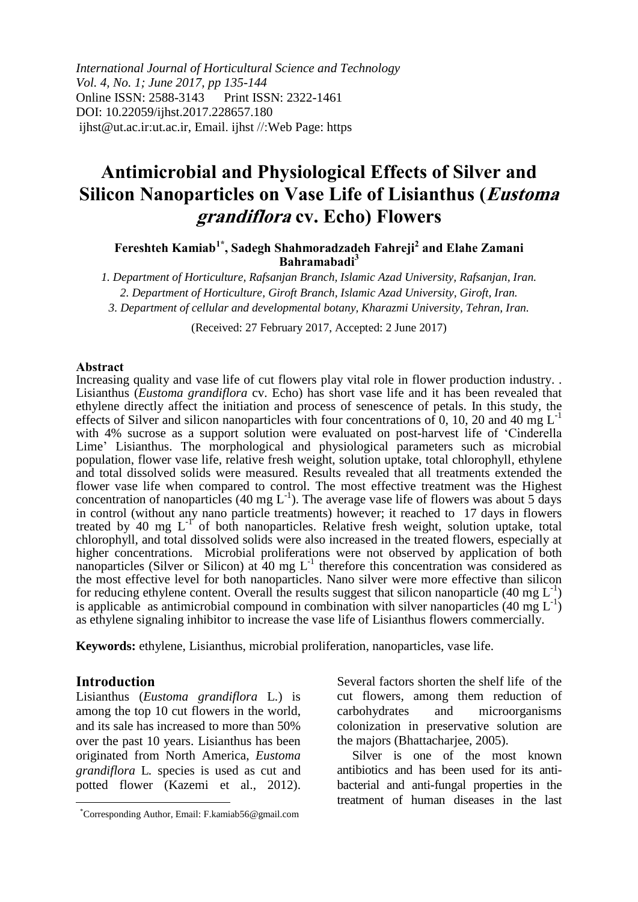*International Journal of Horticultural Science and Technology Vol. 4, No. 1; June 2017, pp 135-144* Online ISSN: 2588-3143 Print ISSN: 2322-1461 DOI: 10.22059/ijhst.2017.228657.180 ijhst@ut.ac.ir:ut.ac.ir, Email. ijhst //:Web Page: https

# **Antimicrobial and Physiological Effects of Silver and Silicon Nanoparticles on Vase Life of Lisianthus (Eustoma grandiflora cv. Echo) Flowers**

**Fereshteh Kamiab1\* , Sadegh Shahmoradzadeh Fahreji<sup>2</sup> and Elahe Zamani Bahramabadi<sup>3</sup>**

*1. Department of Horticulture, Rafsanjan Branch, Islamic Azad University, Rafsanjan, Iran. 2. Department of Horticulture, Giroft Branch, Islamic Azad University, Giroft, Iran. 3. Department of cellular and developmental botany, Kharazmi University, Tehran, Iran.*

(Received: 27 February 2017, Accepted: 2 June 2017)

#### **Abstract**

Increasing quality and vase life of cut flowers play vital role in flower production industry. . Lisianthus (*Eustoma grandiflora* cv. Echo) has short vase life and it has been revealed that ethylene directly affect the initiation and process of senescence of petals. In this study, the effects of Silver and silicon nanoparticles with four concentrations of 0, 10, 20 and 40 mg  $L^{-1}$ with 4% sucrose as a support solution were evaluated on post-harvest life of 'Cinderella Lime' Lisianthus. The morphological and physiological parameters such as microbial population, flower vase life, relative fresh weight, solution uptake, total chlorophyll, ethylene and total dissolved solids were measured. Results revealed that all treatments extended the flower vase life when compared to control. The most effective treatment was the Highest concentration of nanoparticles (40 mg  $L^{-1}$ ). The average vase life of flowers was about 5 days in control (without any nano particle treatments) however; it reached to 17 days in flowers treated by 40 mg  $L^{-1}$  of both nanoparticles. Relative fresh weight, solution uptake, total chlorophyll, and total dissolved solids were also increased in the treated flowers, especially at higher concentrations. Microbial proliferations were not observed by application of both nanoparticles (Silver or Silicon) at  $40 \text{ mg } L^{-1}$  therefore this concentration was considered as the most effective level for both nanoparticles. Nano silver were more effective than silicon for reducing ethylene content. Overall the results suggest that silicon nanoparticle (40 mg  $L^{-1}$ ) is applicable as antimicrobial compound in combination with silver nanoparticles (40 mg  $L^{-1}$ ) as ethylene signaling inhibitor to increase the vase life of Lisianthus flowers commercially.

**Keywords:** ethylene, Lisianthus, microbial proliferation, nanoparticles, vase life.

### **Introduction**

 $\overline{a}$ 

Lisianthus (*Eustoma grandiflora* L.) is among the top 10 cut flowers in the world, and its sale has increased to more than 50% over the past 10 years. Lisianthus has been originated from North America, *Eustoma grandiflora* L*.* species is used as cut and potted flower (Kazemi et al., 2012).

Several factors shorten the shelf life of the cut flowers, among them reduction of carbohydrates and microorganisms colonization in preservative solution are the majors (Bhattacharjee, 2005).

Silver is one of the most known antibiotics and has been used for its antibacterial and anti-fungal properties in the treatment of human diseases in the last

<sup>\*</sup>Corresponding Author, Email: F.kamiab56@gmail.com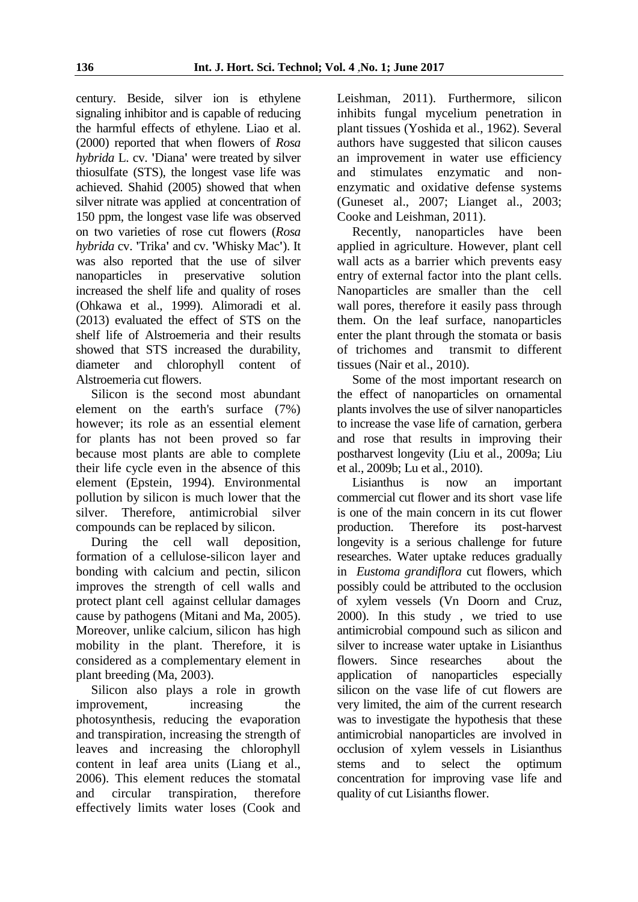century. Beside, silver ion is ethylene signaling inhibitor and is capable of reducing the harmful effects of ethylene. Liao et al. (2000) reported that when flowers of *Rosa hybrida* L. cv. **'**Diana**'** were treated by silver thiosulfate (STS), the longest vase life was achieved. Shahid (2005) showed that when silver nitrate was applied at concentration of 150 ppm, the longest vase life was observed on two varieties of rose cut flowers (*Rosa hybrida* cv. **'**Trika**'** and cv. **'**Whisky Mac**'**). It was also reported that the use of silver nanoparticles in preservative solution increased the shelf life and quality of roses (Ohkawa et al., 1999). Alimoradi et al. (2013) evaluated the effect of STS on the shelf life of Alstroemeria and their results showed that STS increased the durability, diameter and chlorophyll content of Alstroemeria cut flowers.

Silicon is the second most abundant element on the earth's surface (7%) however; its role as an essential element for plants has not been proved so far because most plants are able to complete their life cycle even in the absence of this element (Epstein, 1994). Environmental pollution by silicon is much lower that the silver. Therefore, antimicrobial silver compounds can be replaced by silicon.

During the cell wall deposition, formation of a cellulose-silicon layer and bonding with calcium and pectin, silicon improves the strength of cell walls and protect plant cell against cellular damages cause by pathogens (Mitani and Ma, 2005). Moreover, unlike calcium, silicon has high mobility in the plant. Therefore, it is considered as a complementary element in plant breeding (Ma, 2003).

Silicon also plays a role in growth improvement, increasing the photosynthesis, reducing the evaporation and transpiration, increasing the strength of leaves and increasing the chlorophyll content in leaf area units (Liang et al., 2006). This element reduces the stomatal and circular transpiration, therefore effectively limits water loses (Cook and Leishman, 2011). Furthermore, silicon inhibits fungal mycelium penetration in plant tissues (Yoshida et al., 1962). Several authors have suggested that silicon causes an improvement in water use efficiency and stimulates enzymatic and nonenzymatic and oxidative defense systems (Guneset al., 2007; Lianget al., 2003; Cooke and Leishman, 2011).

Recently, nanoparticles have been applied in agriculture. However, plant cell wall acts as a barrier which prevents easy entry of external factor into the plant cells. Nanoparticles are smaller than the cell wall pores, therefore it easily pass through them. On the leaf surface, nanoparticles enter the plant through the stomata or basis of trichomes and transmit to different tissues (Nair et al., 2010).

Some of the most important research on the effect of nanoparticles on ornamental plants involves the use of silver nanoparticles to increase the vase life of carnation, gerbera and rose that results in improving their postharvest longevity (Liu et al., 2009a; Liu et al., 2009b; Lu et al., 2010).

Lisianthus is now an important commercial cut flower and its short vase life is one of the main concern in its cut flower production. Therefore its post-harvest longevity is a serious challenge for future researches. Water uptake reduces gradually in *Eustoma grandiflora* cut flowers, which possibly could be attributed to the occlusion of xylem vessels (Vn Doorn and Cruz, 2000). In this study , we tried to use antimicrobial compound such as silicon and silver to increase water uptake in Lisianthus flowers. Since researches about the application of nanoparticles especially silicon on the vase life of cut flowers are very limited, the aim of the current research was to investigate the hypothesis that these antimicrobial nanoparticles are involved in occlusion of xylem vessels in Lisianthus stems and to select the optimum concentration for improving vase life and quality of cut Lisianths flower.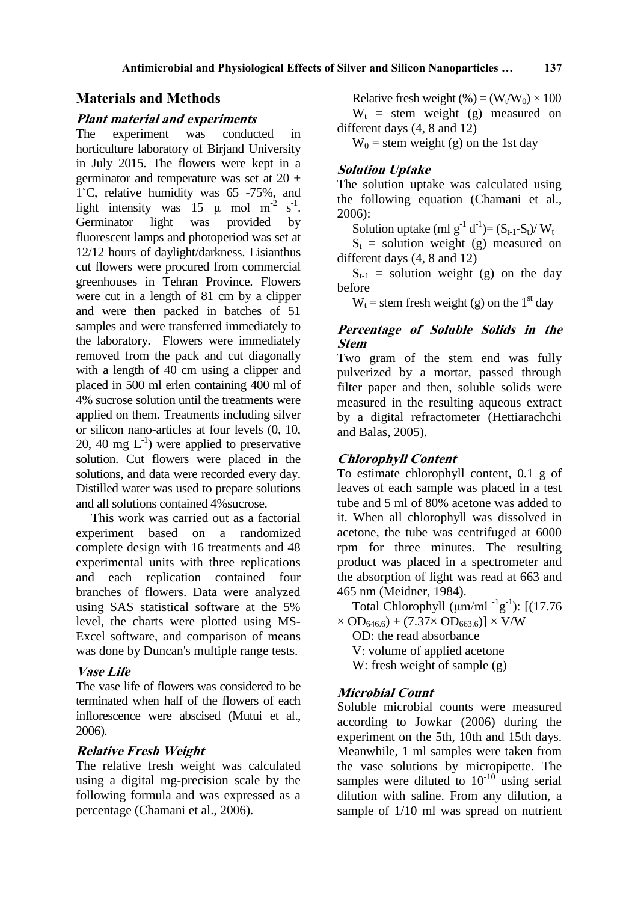# **Materials and Methods**

### **Plant material and experiments**

The experiment was conducted in horticulture laboratory of Birjand University in July 2015. The flowers were kept in a germinator and temperature was set at  $20 \pm$ 1˚C, relative humidity was 65 -75%, and light intensity was 15  $\mu$  mol m<sup>-2</sup> s<sup>-1</sup>. Germinator light was provided by fluorescent lamps and photoperiod was set at 12/12 hours of daylight/darkness. Lisianthus cut flowers were procured from commercial greenhouses in Tehran Province. Flowers were cut in a length of 81 cm by a clipper and were then packed in batches of 51 samples and were transferred immediately to the laboratory. Flowers were immediately removed from the pack and cut diagonally with a length of 40 cm using a clipper and placed in 500 ml erlen containing 400 ml of 4% sucrose solution until the treatments were applied on them. Treatments including silver or silicon nano-articles at four levels (0, 10, 20, 40 mg  $L^{-1}$ ) were applied to preservative solution. Cut flowers were placed in the solutions, and data were recorded every day. Distilled water was used to prepare solutions and all solutions contained 4%sucrose.

This work was carried out as a factorial experiment based on a randomized complete design with 16 treatments and 48 experimental units with three replications and each replication contained four branches of flowers. Data were analyzed using SAS statistical software at the 5% level, the charts were plotted using MS-Excel software, and comparison of means was done by Duncan's multiple range tests.

# **Vase Life**

The vase life of flowers was considered to be terminated when half of the flowers of each inflorescence were abscised (Mutui et al., 2006).

# **Relative Fresh Weight**

The relative fresh weight was calculated using a digital mg-precision scale by the following formula and was expressed as a percentage (Chamani et al., 2006).

Relative fresh weight (%) =  $(W_t/W_0) \times 100$  $W_t$  = stem weight (g) measured on different days (4, 8 and 12)

 $W_0$  = stem weight (g) on the 1st day

# **Solution Uptake**

The solution uptake was calculated using the following equation (Chamani et al., 2006):

Solution uptake (ml  $g^{-1} d^{-1}$ )= (S<sub>t-1</sub>-S<sub>t</sub>)/ W<sub>t</sub>

 $S_t$  = solution weight (g) measured on different days (4, 8 and 12)

 $S_{t-1}$  = solution weight (g) on the day before

 $W_t$  = stem fresh weight (g) on the 1<sup>st</sup> day

### **Percentage of Soluble Solids in the Stem**

Two gram of the stem end was fully pulverized by a mortar, passed through filter paper and then, soluble solids were measured in the resulting aqueous extract by a digital refractometer (Hettiarachchi and Balas, 2005).

# **Chlorophyll Content**

To estimate chlorophyll content, 0.1 g of leaves of each sample was placed in a test tube and 5 ml of 80% acetone was added to it. When all chlorophyll was dissolved in acetone, the tube was centrifuged at 6000 rpm for three minutes. The resulting product was placed in a spectrometer and the absorption of light was read at 663 and 465 nm (Meidner, 1984).

Total Chlorophyll  $(\mu m/ml^{-1}g^{-1})$ : [(17.76  $\times$  OD<sub>646.6</sub>) + (7.37 $\times$  OD<sub>663.6</sub>)]  $\times$  V/W

OD: the read absorbance V: volume of applied acetone W: fresh weight of sample (g)

# **Microbial Count**

Soluble microbial counts were measured according to Jowkar (2006) during the experiment on the 5th, 10th and 15th days. Meanwhile, 1 ml samples were taken from the vase solutions by micropipette. The samples were diluted to  $10^{-10}$  using serial dilution with saline. From any dilution, a sample of 1/10 ml was spread on nutrient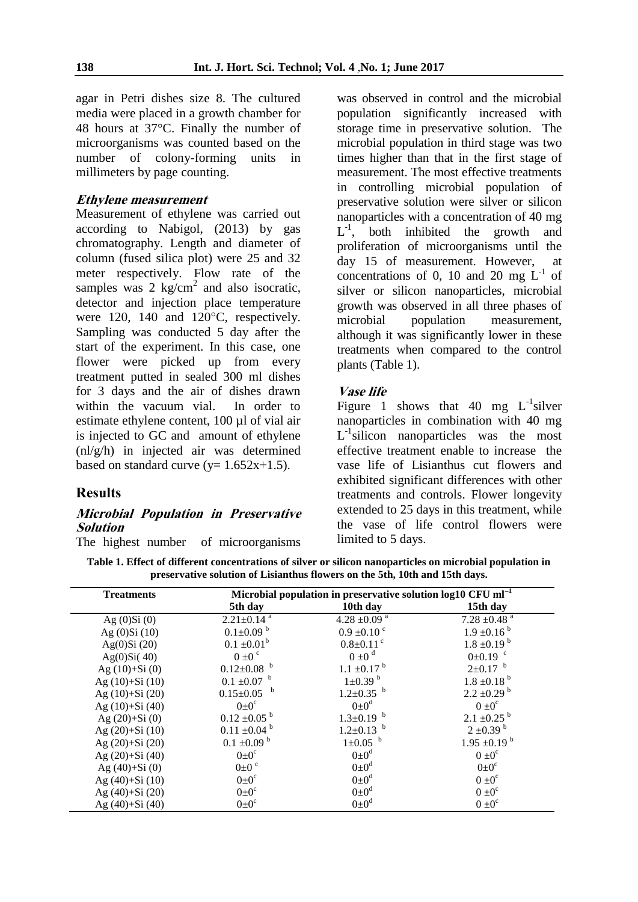agar in Petri dishes size 8. The cultured media were placed in a growth chamber for 48 hours at 37°C. Finally the number of microorganisms was counted based on the number of colony-forming units in millimeters by page counting.

### **Ethylene measurement**

Measurement of ethylene was carried out according to Nabigol, (2013) by gas chromatography. Length and diameter of column (fused silica plot) were 25 and 32 meter respectively. Flow rate of the samples was 2 kg/cm<sup>2</sup> and also isocratic, detector and injection place temperature were 120, 140 and 120°C, respectively. Sampling was conducted 5 day after the start of the experiment. In this case, one flower were picked up from every treatment putted in sealed 300 ml dishes for 3 days and the air of dishes drawn within the vacuum vial. In order to estimate ethylene content, 100 µl of vial air is injected to GC and amount of ethylene (nl/g/h) in injected air was determined based on standard curve  $(y=1.652x+1.5)$ .

### **Results**

### **Microbial Population in Preservative Solution**

The highest number of microorganisms

was observed in control and the microbial population significantly increased with storage time in preservative solution. The microbial population in third stage was two times higher than that in the first stage of measurement. The most effective treatments in controlling microbial population of preservative solution were silver or silicon nanoparticles with a concentration of 40 mg  $L^{-1}$ , both inhibited the growth and proliferation of microorganisms until the day 15 of measurement. However, at concentrations of 0, 10 and 20 mg  $L^{-1}$  of silver or silicon nanoparticles, microbial growth was observed in all three phases of microbial population measurement, although it was significantly lower in these treatments when compared to the control plants (Table 1).

### **Vase life**

Figure 1 shows that 40 mg  $L^{-1}$ silver nanoparticles in combination with 40 mg L<sup>-1</sup>silicon nanoparticles was the most effective treatment enable to increase the vase life of Lisianthus cut flowers and exhibited significant differences with other treatments and controls. Flower longevity extended to 25 days in this treatment, while the vase of life control flowers were limited to 5 days.

**Table 1. Effect of different concentrations of silver or silicon nanoparticles on microbial population in preservative solution of Lisianthus flowers on the 5th, 10th and 15th days.**

| <b>Treatments</b>  | Microbial population in preservative solution $log10$ CFU ml <sup>-1</sup> |                             |                              |
|--------------------|----------------------------------------------------------------------------|-----------------------------|------------------------------|
|                    | 5th day                                                                    | 10th day                    | 15th day                     |
| Ag $(0)Si(0)$      | $2.21 \pm 0.14$ <sup>a</sup>                                               | 4.28 ±0.09 $^{a}$           | $7.28 \pm 0.48$ <sup>a</sup> |
| Ag $(0)Si(10)$     | $0.1 \pm 0.09$ <sup>b</sup>                                                | $0.9 \pm 0.10$ °            | $1.9 \pm 0.16^{b}$           |
| Ag $(0)$ Si $(20)$ | $0.1 \pm 0.01^b$                                                           | $0.8 \pm 0.11$ <sup>c</sup> | $1.8 \pm 0.19^{b}$           |
| Ag(0)Si(40)        | $0 \pm 0$ <sup>c</sup>                                                     | $0 \pm 0$ <sup>d</sup>      | $0\pm0.19$ °                 |
| Ag $(10)+Si(0)$    | $0.12 \pm 0.08$ b                                                          | $1.1 \pm 0.17^{b}$          | $2\pm0.17$ b                 |
| Ag $(10)+Si(10)$   | $0.1 \pm 0.07$ b                                                           | $1 \pm 0.39$ <sup>b</sup>   | $1.8 \pm 0.18^{b}$           |
| Ag $(10)+Si(20)$   | $0.15 \pm 0.05$ b                                                          | $1.2 \pm 0.35$ b            | $2.2 \pm 0.29$ <sup>b</sup>  |
| Ag $(10)+Si(40)$   | $0 \pm 0^{\circ}$                                                          | $0\pm0^d$                   | $0 \pm 0^{\circ}$            |
| Ag $(20)+Si(0)$    | $0.12 \pm 0.05$ <sup>b</sup>                                               | $1.3 \pm 0.19$ b            | $2.1 \pm 0.25$ <sup>b</sup>  |
| Ag $(20)+Si(10)$   | $0.11 \pm 0.04$ <sup>b</sup>                                               | $1.2 \pm 0.13$ b            | $2 \pm 0.39$ <sup>b</sup>    |
| Ag (20)+Si (20)    | $0.1 \pm 0.09$ <sup>b</sup>                                                | $1 \pm 0.05$ b              | $1.95 \pm 0.19^{b}$          |
| Ag $(20)+Si(40)$   | $0 \pm 0^{\circ}$                                                          | $0 \pm 0^d$                 | $0 \pm 0^{\circ}$            |
| Ag $(40)+Si(0)$    | $0\pm0$ c                                                                  | $0 \pm 0^d$                 | $0 \pm 0^{\circ}$            |
| Ag $(40)+Si(10)$   | $0 \pm 0^{\circ}$                                                          | $0\pm 0^d$                  | $0 \pm 0^{\circ}$            |
| Ag $(40)+Si(20)$   | $0 \pm 0^{\circ}$                                                          | $0 \pm 0^d$                 | $0 \pm 0^{\circ}$            |
| Ag (40)+Si (40)    | $0 \pm 0^{\circ}$                                                          | $0 \pm 0^d$                 | $0 \pm 0^c$                  |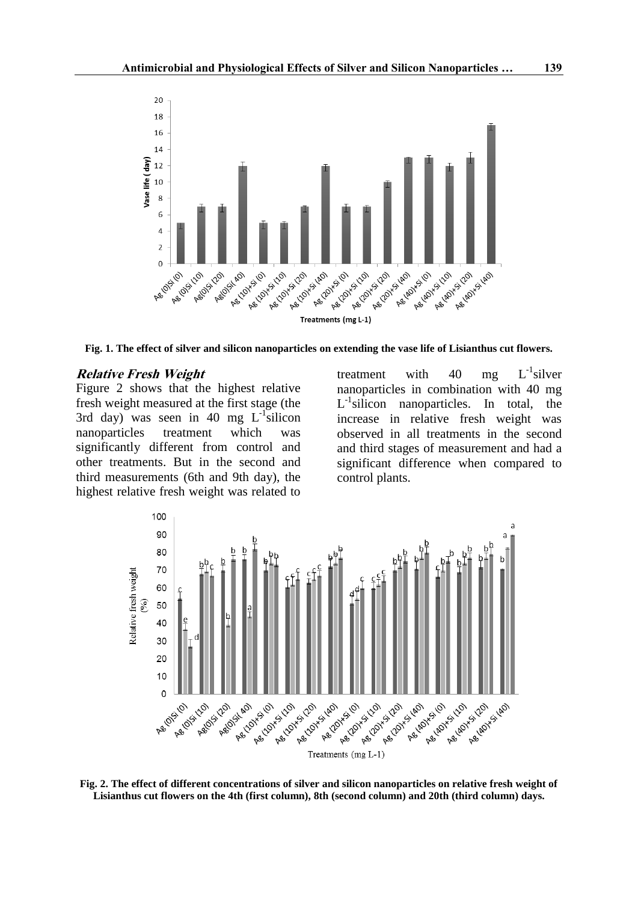

**Fig. 1. The effect of silver and silicon nanoparticles on extending the vase life of Lisianthus cut flowers.**

#### **Relative Fresh Weight**

Figure 2 shows that the highest relative fresh weight measured at the first stage (the 3rd day) was seen in 40 mg  $L^{-1}$ silicon nanoparticles treatment which was significantly different from control and other treatments. But in the second and third measurements (6th and 9th day), the highest relative fresh weight was related to

treatment with 40 mg  $\epsilon^{-1}$ silver nanoparticles in combination with 40 mg L<sup>-1</sup>silicon nanoparticles. In total, the increase in relative fresh weight was observed in all treatments in the second and third stages of measurement and had a significant difference when compared to control plants.



**Fig. 2. The effect of different concentrations of silver and silicon nanoparticles on relative fresh weight of Lisianthus cut flowers on the 4th (first column), 8th (second column) and 20th (third column) days.**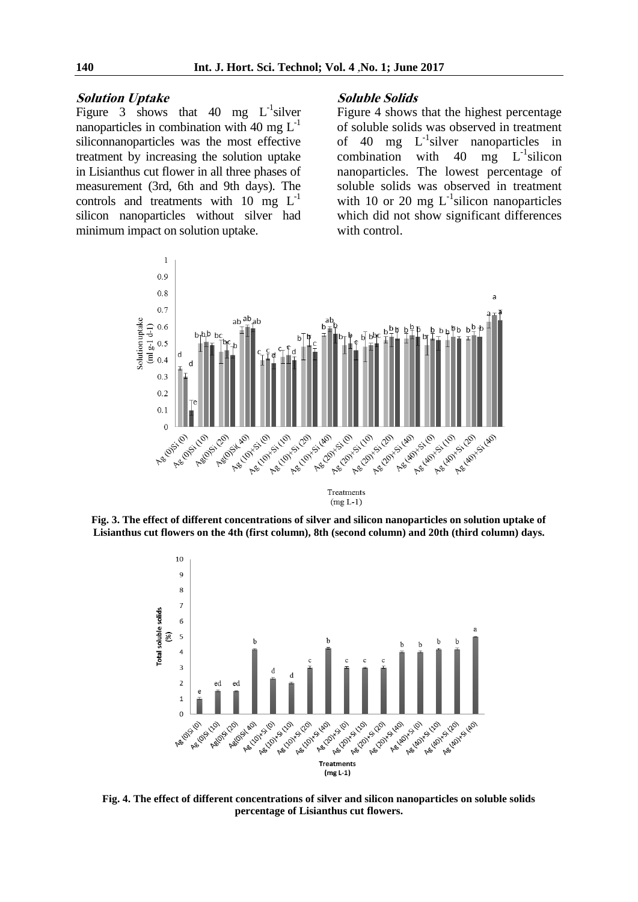#### **Solution Uptake**

Figure 3 shows that 40 mg  $L^{-1}$ silver nanoparticles in combination with 40 mg  $L^{-1}$ siliconnanoparticles was the most effective treatment by increasing the solution uptake in Lisianthus cut flower in all three phases of measurement (3rd, 6th and 9th days). The controls and treatments with  $10 \text{ mg } L^{-1}$ silicon nanoparticles without silver had minimum impact on solution uptake.

#### **Soluble Solids**

Figure 4 shows that the highest percentage of soluble solids was observed in treatment of  $40$  mg  $L^{-1}$ silver nanoparticles in combination with  $40 \text{ mg}$  L<sup>-1</sup> silicon nanoparticles. The lowest percentage of soluble solids was observed in treatment with 10 or 20 mg  $L^{-1}$ silicon nanoparticles which did not show significant differences with control.



**Fig. 3. The effect of different concentrations of silver and silicon nanoparticles on solution uptake of Lisianthus cut flowers on the 4th (first column), 8th (second column) and 20th (third column) days.**



**Fig. 4. The effect of different concentrations of silver and silicon nanoparticles on soluble solids percentage of Lisianthus cut flowers.**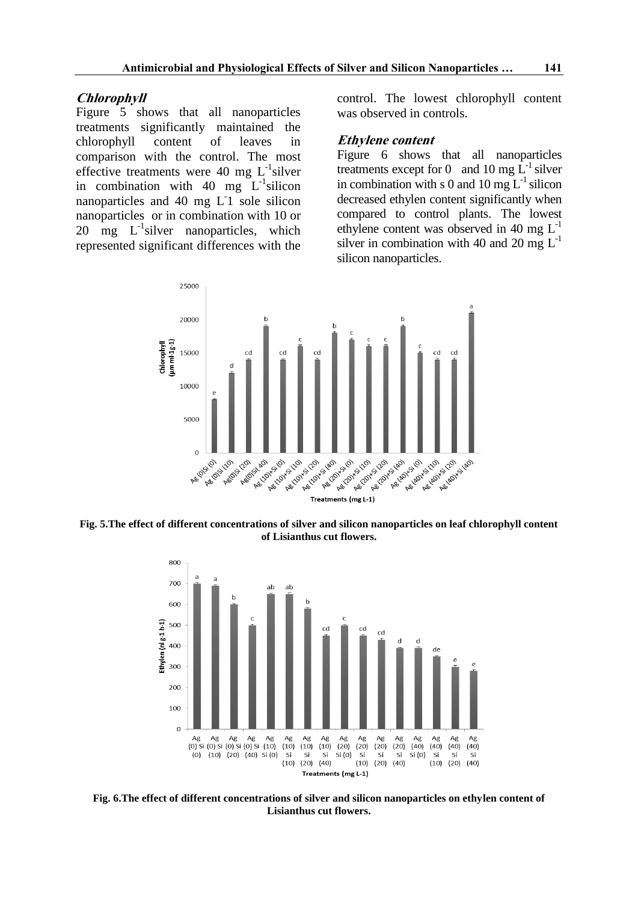#### **Chlorophyll**

Figure 5 shows that all nanoparticles treatments significantly maintained the chlorophyll content of leaves in comparison with the control. The most effective treatments were 40 mg  $L^{-1}$ silver in combination with 40 mg  $L^{-1}$ silicon nanoparticles and 40 mg L<sup>1</sup> sole silicon nanoparticles or in combination with 10 or  $20 \text{ mg}$  L<sup>-1</sup>silver nanoparticles, which represented significant differences with the

control. The lowest chlorophyll content was observed in controls.

#### **Ethylene content**

Figure 6 shows that all nanoparticles treatments except for 0 and 10 mg  $L^{-1}$  silver in combination with s 0 and 10 mg  $L^{-1}$  silicon decreased ethylen content significantly when compared to control plants. The lowest ethylene content was observed in 40 mg  $L^{-1}$ silver in combination with 40 and 20 mg  $L^{-1}$ silicon nanoparticles.



**Fig. 5.The effect of different concentrations of silver and silicon nanoparticles on leaf chlorophyll content of Lisianthus cut flowers.**



**Fig. 6.The effect of different concentrations of silver and silicon nanoparticles on ethylen content of Lisianthus cut flowers.**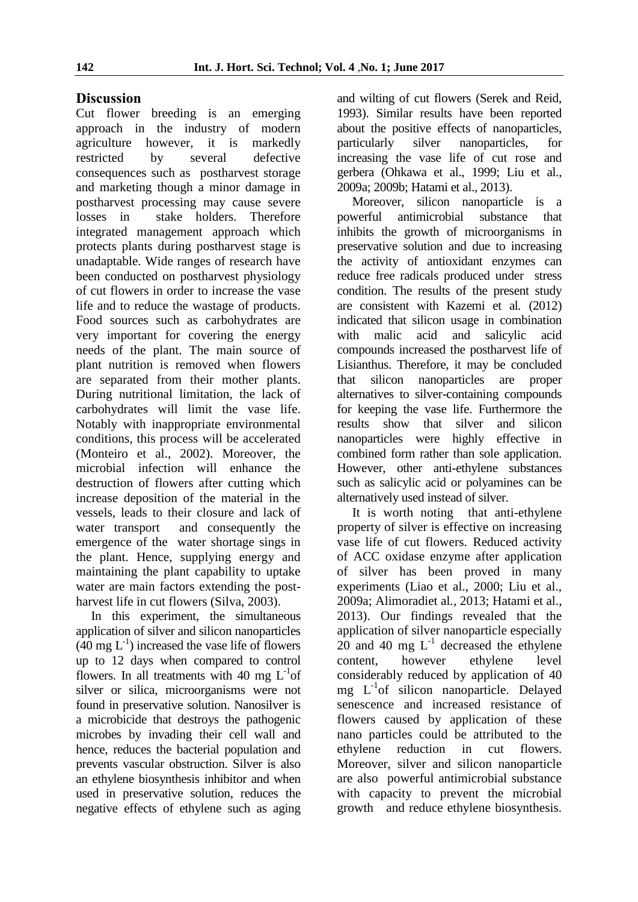### **Discussion**

Cut flower breeding is an emerging approach in the industry of modern agriculture however, it is markedly restricted by several defective consequences such as postharvest storage and marketing though a minor damage in postharvest processing may cause severe losses in stake holders. Therefore integrated management approach which protects plants during postharvest stage is unadaptable. Wide ranges of research have been conducted on postharvest physiology of cut flowers in order to increase the vase life and to reduce the wastage of products. Food sources such as carbohydrates are very important for covering the energy needs of the plant. The main source of plant nutrition is removed when flowers are separated from their mother plants. During nutritional limitation, the lack of carbohydrates will limit the vase life. Notably with inappropriate environmental conditions, this process will be accelerated (Monteiro et al., 2002). Moreover, the microbial infection will enhance the destruction of flowers after cutting which increase deposition of the material in the vessels, leads to their closure and lack of water transport and consequently the emergence of the water shortage sings in the plant. Hence, supplying energy and maintaining the plant capability to uptake water are main factors extending the postharvest life in cut flowers (Silva, 2003).

In this experiment, the simultaneous application of silver and silicon nanoparticles  $(40 \text{ mg } L^1)$  increased the vase life of flowers up to 12 days when compared to control flowers. In all treatments with 40 mg  $L^{-1}$ of silver or silica, microorganisms were not found in preservative solution. Nanosilver is a microbicide that destroys the pathogenic microbes by invading their cell wall and hence, reduces the bacterial population and prevents vascular obstruction. Silver is also an ethylene biosynthesis inhibitor and when used in preservative solution, reduces the negative effects of ethylene such as aging

and wilting of cut flowers (Serek and Reid, 1993). Similar results have been reported about the positive effects of nanoparticles, particularly silver nanoparticles, for increasing the vase life of cut rose and gerbera (Ohkawa et al., 1999; Liu et al., 2009a; 2009b; Hatami et al., 2013).

Moreover, silicon nanoparticle is a powerful antimicrobial substance that inhibits the growth of microorganisms in preservative solution and due to increasing the activity of antioxidant enzymes can reduce free radicals produced under stress condition. The results of the present study are consistent with Kazemi et al*.* (2012) indicated that silicon usage in combination with malic acid and salicylic acid compounds increased the postharvest life of Lisianthus. Therefore, it may be concluded that silicon nanoparticles are proper alternatives to silver-containing compounds for keeping the vase life. Furthermore the results show that silver and silicon nanoparticles were highly effective in combined form rather than sole application. However, other anti-ethylene substances such as salicylic acid or polyamines can be alternatively used instead of silver.

It is worth noting that anti-ethylene property of silver is effective on increasing vase life of cut flowers. Reduced activity of ACC oxidase enzyme after application of silver has been proved in many experiments (Liao et al., 2000; Liu et al., 2009a; Alimoradiet al*.*, 2013; Hatami et al., 2013). Our findings revealed that the application of silver nanoparticle especially  $20$  and  $40 \text{ mg } L^{-1}$  decreased the ethylene content, however ethylene level considerably reduced by application of 40 mg L-1 of silicon nanoparticle. Delayed senescence and increased resistance of flowers caused by application of these nano particles could be attributed to the ethylene reduction in cut flowers. Moreover, silver and silicon nanoparticle are also powerful antimicrobial substance with capacity to prevent the microbial growth and reduce ethylene biosynthesis.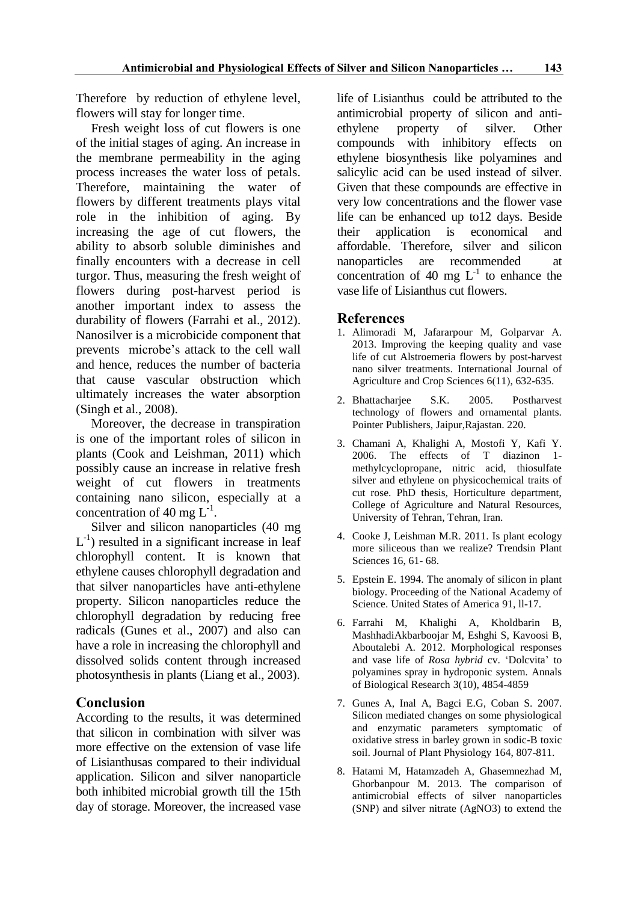Therefore by reduction of ethylene level, flowers will stay for longer time.

Fresh weight loss of cut flowers is one of the initial stages of aging. An increase in the membrane permeability in the aging process increases the water loss of petals. Therefore, maintaining the water of flowers by different treatments plays vital role in the inhibition of aging. By increasing the age of cut flowers, the ability to absorb soluble diminishes and finally encounters with a decrease in cell turgor. Thus, measuring the fresh weight of flowers during post-harvest period is another important index to assess the durability of flowers (Farrahi et al., 2012). Nanosilver is a microbicide component that prevents microbe's attack to the cell wall and hence, reduces the number of bacteria that cause vascular obstruction which ultimately increases the water absorption (Singh et al., 2008).

Moreover, the decrease in transpiration is one of the important roles of silicon in plants (Cook and Leishman, 2011) which possibly cause an increase in relative fresh weight of cut flowers in treatments containing nano silicon, especially at a concentration of 40 mg  $L^{-1}$ .

Silver and silicon nanoparticles (40 mg  $L^{-1}$ ) resulted in a significant increase in leaf chlorophyll content. It is known that ethylene causes chlorophyll degradation and that silver nanoparticles have anti-ethylene property. Silicon nanoparticles reduce the chlorophyll degradation by reducing free radicals (Gunes et al., 2007) and also can have a role in increasing the chlorophyll and dissolved solids content through increased photosynthesis in plants (Liang et al., 2003).

### **Conclusion**

According to the results, it was determined that silicon in combination with silver was more effective on the extension of vase life of Lisianthusas compared to their individual application. Silicon and silver nanoparticle both inhibited microbial growth till the 15th day of storage. Moreover, the increased vase

life of Lisianthus could be attributed to the antimicrobial property of silicon and antiethylene property of silver. Other compounds with inhibitory effects on ethylene biosynthesis like polyamines and salicylic acid can be used instead of silver. Given that these compounds are effective in very low concentrations and the flower vase life can be enhanced up to12 days. Beside their application is economical and affordable. Therefore, silver and silicon nanoparticles are recommended at concentration of 40 mg  $L^{-1}$  to enhance the vase life of Lisianthus cut flowers.

### **References**

- 1. Alimoradi M, Jafararpour M, Golparvar A. 2013. Improving the keeping quality and vase life of cut Alstroemeria flowers by post-harvest nano silver treatments. International Journal of Agriculture and Crop Sciences  $6(11)$ , 632-635.
- 2. Bhattacharjee S.K. 2005. Postharvest technology of flowers and ornamental plants. Pointer Publishers, Jaipur,Rajastan. 220.
- 3. Chamani A, Khalighi A, Mostofi Y, Kafi Y. 2006. The effects of T diazinon 1 methylcyclopropane, nitric acid, thiosulfate silver and ethylene on physicochemical traits of cut rose. PhD thesis, Horticulture department, College of Agriculture and Natural Resources, University of Tehran, Tehran, Iran.
- 4. Cooke J, Leishman M.R. 2011. Is plant ecology more siliceous than we realize? Trendsin Plant Sciences 16, 61- 68.
- 5. Epstein E. 1994. The anomaly of silicon in plant biology. Proceeding of the National Academy of Science. United States of America 91, ll-17.
- 6. Farrahi M, Khalighi A, Kholdbarin B, MashhadiAkbarboojar M, Eshghi S, Kavoosi B, Aboutalebi A. 2012. Morphological responses and vase life of *Rosa hybrid* cv. 'Dolcvita' to polyamines spray in hydroponic system. Annals of Biological Research 3(10), 4854-4859
- 7. Gunes A, Inal A, Bagci E.G, Coban S. 2007. Silicon mediated changes on some physiological and enzymatic parameters symptomatic of oxidative stress in barley grown in sodic-B toxic soil. Journal of Plant Physiology 164, 807-811.
- 8. Hatami M, Hatamzadeh A, Ghasemnezhad M, Ghorbanpour M. 2013. The comparison of antimicrobial effects of silver nanoparticles (SNP) and silver nitrate (AgNO3) to extend the